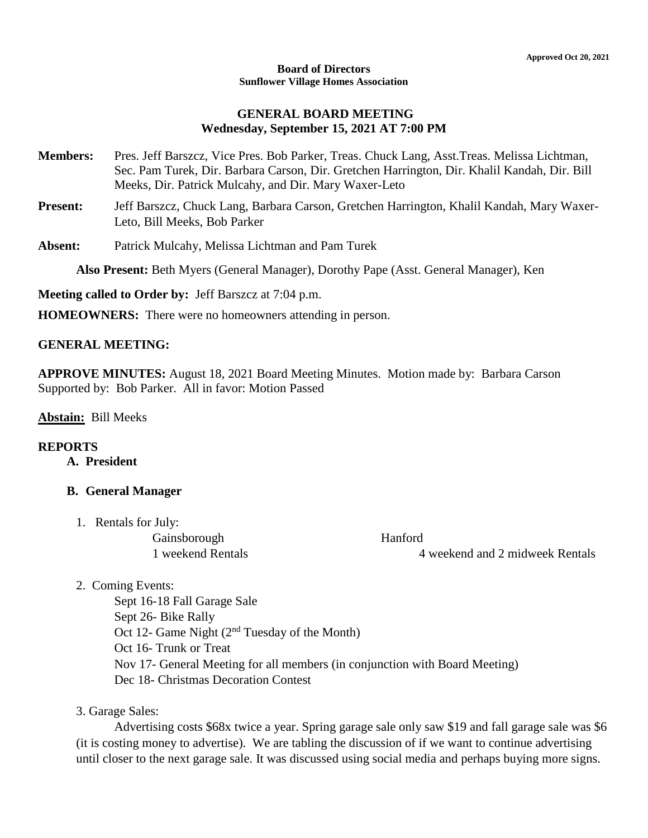#### **Board of Directors Sunflower Village Homes Association**

### **GENERAL BOARD MEETING Wednesday, September 15, 2021 AT 7:00 PM**

- **Members:** Pres. Jeff Barszcz, Vice Pres. Bob Parker, Treas. Chuck Lang, Asst.Treas. Melissa Lichtman, Sec. Pam Turek, Dir. Barbara Carson, Dir. Gretchen Harrington, Dir. Khalil Kandah, Dir. Bill Meeks, Dir. Patrick Mulcahy, and Dir. Mary Waxer-Leto
- **Present:** Jeff Barszcz, Chuck Lang, Barbara Carson, Gretchen Harrington, Khalil Kandah, Mary Waxer-Leto, Bill Meeks, Bob Parker
- **Absent:** Patrick Mulcahy, Melissa Lichtman and Pam Turek

**Also Present:** Beth Myers (General Manager), Dorothy Pape (Asst. General Manager), Ken

**Meeting called to Order by:** Jeff Barszcz at 7:04 p.m.

**HOMEOWNERS:** There were no homeowners attending in person.

#### **GENERAL MEETING:**

**APPROVE MINUTES:** August 18, 2021 Board Meeting Minutes. Motion made by: Barbara Carson Supported by: Bob Parker. All in favor: Motion Passed

**Abstain:** Bill Meeks

#### **REPORTS**

**A. President**

#### **B. General Manager**

1. Rentals for July:

| Gainsborough      | Hanford                         |
|-------------------|---------------------------------|
| 1 weekend Rentals | 4 weekend and 2 midweek Rentals |

2. Coming Events:

Sept 16-18 Fall Garage Sale Sept 26- Bike Rally Oct 12- Game Night  $(2<sup>nd</sup> Tuesday of the Month)$ Oct 16- Trunk or Treat Nov 17- General Meeting for all members (in conjunction with Board Meeting) Dec 18- Christmas Decoration Contest

3. Garage Sales:

Advertising costs \$68x twice a year. Spring garage sale only saw \$19 and fall garage sale was \$6 (it is costing money to advertise). We are tabling the discussion of if we want to continue advertising until closer to the next garage sale. It was discussed using social media and perhaps buying more signs.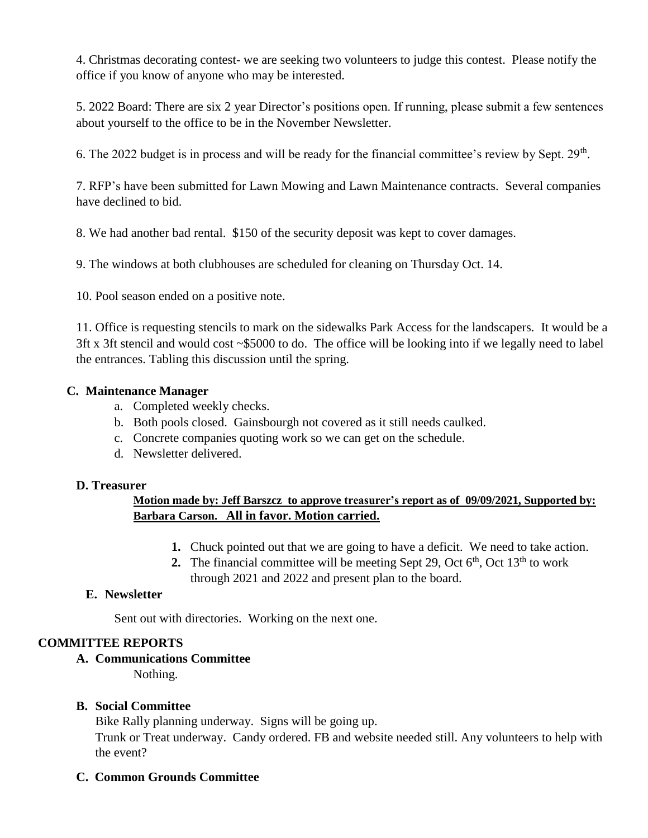4. Christmas decorating contest- we are seeking two volunteers to judge this contest. Please notify the office if you know of anyone who may be interested.

5. 2022 Board: There are six 2 year Director's positions open. If running, please submit a few sentences about yourself to the office to be in the November Newsletter.

6. The 2022 budget is in process and will be ready for the financial committee's review by Sept.  $29<sup>th</sup>$ .

7. RFP's have been submitted for Lawn Mowing and Lawn Maintenance contracts. Several companies have declined to bid.

8. We had another bad rental. \$150 of the security deposit was kept to cover damages.

9. The windows at both clubhouses are scheduled for cleaning on Thursday Oct. 14.

10. Pool season ended on a positive note.

11. Office is requesting stencils to mark on the sidewalks Park Access for the landscapers. It would be a 3ft x 3ft stencil and would cost ~\$5000 to do. The office will be looking into if we legally need to label the entrances. Tabling this discussion until the spring.

#### **C. Maintenance Manager**

- a. Completed weekly checks.
- b. Both pools closed. Gainsbourgh not covered as it still needs caulked.
- c. Concrete companies quoting work so we can get on the schedule.
- d. Newsletter delivered.

#### **D. Treasurer**

## **Motion made by: Jeff Barszcz to approve treasurer's report as of 09/09/2021, Supported by: Barbara Carson. All in favor. Motion carried.**

- **1.** Chuck pointed out that we are going to have a deficit. We need to take action.
- **2.** The financial committee will be meeting Sept 29, Oct  $6<sup>th</sup>$ , Oct  $13<sup>th</sup>$  to work through 2021 and 2022 and present plan to the board.

## **E. Newsletter**

Sent out with directories. Working on the next one.

## **COMMITTEE REPORTS**

#### **A. Communications Committee**

Nothing.

## **B. Social Committee**

Bike Rally planning underway. Signs will be going up.

Trunk or Treat underway. Candy ordered. FB and website needed still. Any volunteers to help with the event?

## **C. Common Grounds Committee**